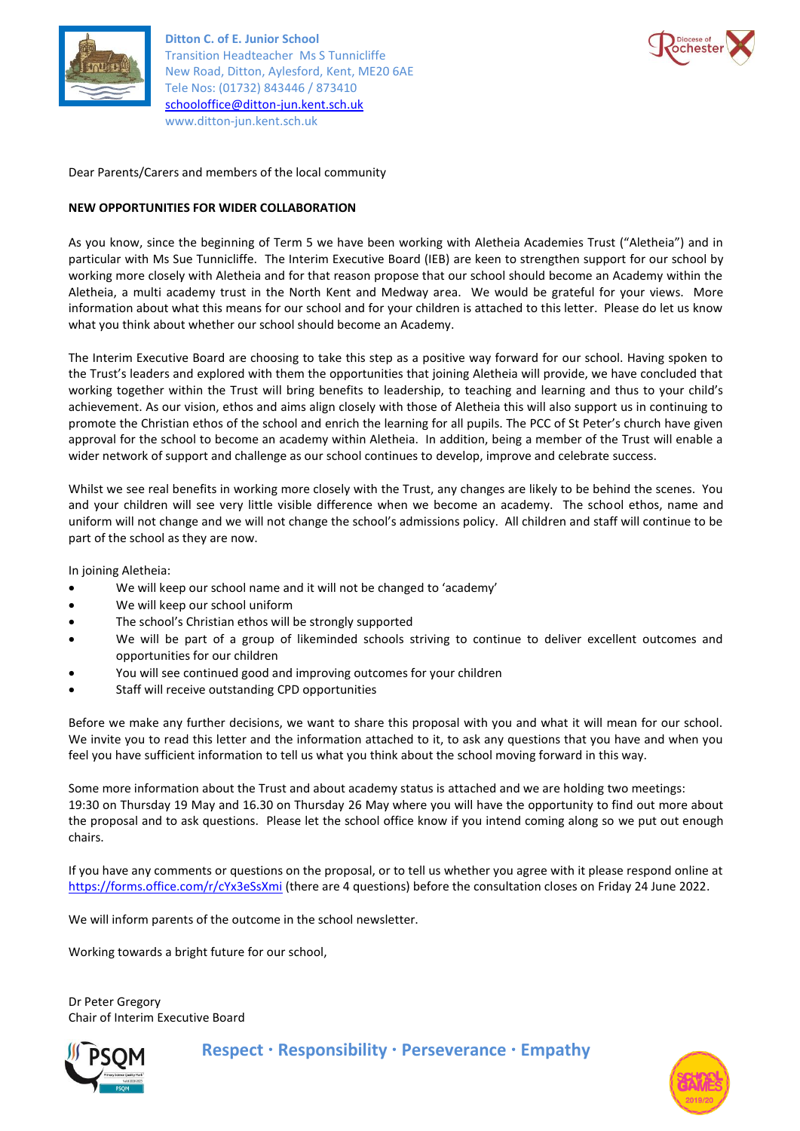

**Ditton C. of E. Junior School** Transition Headteacher Ms S Tunnicliffe New Road, Ditton, Aylesford, Kent, ME20 6AE Tele Nos: (01732) 843446 / 873410 [schooloffice@ditton-jun.kent.sch.uk](mailto:schooloffice@ditton-jun.kent.sch.uk) www.ditton-jun.kent.sch.uk



Dear Parents/Carers and members of the local community

# **NEW OPPORTUNITIES FOR WIDER COLLABORATION**

As you know, since the beginning of Term 5 we have been working with Aletheia Academies Trust ("Aletheia") and in particular with Ms Sue Tunnicliffe. The Interim Executive Board (IEB) are keen to strengthen support for our school by working more closely with Aletheia and for that reason propose that our school should become an Academy within the Aletheia, a multi academy trust in the North Kent and Medway area. We would be grateful for your views. More information about what this means for our school and for your children is attached to this letter. Please do let us know what you think about whether our school should become an Academy.

The Interim Executive Board are choosing to take this step as a positive way forward for our school. Having spoken to the Trust's leaders and explored with them the opportunities that joining Aletheia will provide, we have concluded that working together within the Trust will bring benefits to leadership, to teaching and learning and thus to your child's achievement. As our vision, ethos and aims align closely with those of Aletheia this will also support us in continuing to promote the Christian ethos of the school and enrich the learning for all pupils. The PCC of St Peter's church have given approval for the school to become an academy within Aletheia. In addition, being a member of the Trust will enable a wider network of support and challenge as our school continues to develop, improve and celebrate success.

Whilst we see real benefits in working more closely with the Trust, any changes are likely to be behind the scenes. You and your children will see very little visible difference when we become an academy. The school ethos, name and uniform will not change and we will not change the school's admissions policy. All children and staff will continue to be part of the school as they are now.

In joining Aletheia:

- We will keep our school name and it will not be changed to 'academy'
- We will keep our school uniform
- The school's Christian ethos will be strongly supported
- We will be part of a group of likeminded schools striving to continue to deliver excellent outcomes and opportunities for our children
- You will see continued good and improving outcomes for your children
- Staff will receive outstanding CPD opportunities

Before we make any further decisions, we want to share this proposal with you and what it will mean for our school. We invite you to read this letter and the information attached to it, to ask any questions that you have and when you feel you have sufficient information to tell us what you think about the school moving forward in this way.

Some more information about the Trust and about academy status is attached and we are holding two meetings: 19:30 on Thursday 19 May and 16.30 on Thursday 26 May where you will have the opportunity to find out more about the proposal and to ask questions. Please let the school office know if you intend coming along so we put out enough chairs.

If you have any comments or questions on the proposal, or to tell us whether you agree with it please respond online at <https://forms.office.com/r/cYx3eSsXmi> (there are 4 questions) before the consultation closes on Friday 24 June 2022.

We will inform parents of the outcome in the school newsletter.

Working towards a bright future for our school,

Dr Peter Gregory Chair of Interim Executive Board



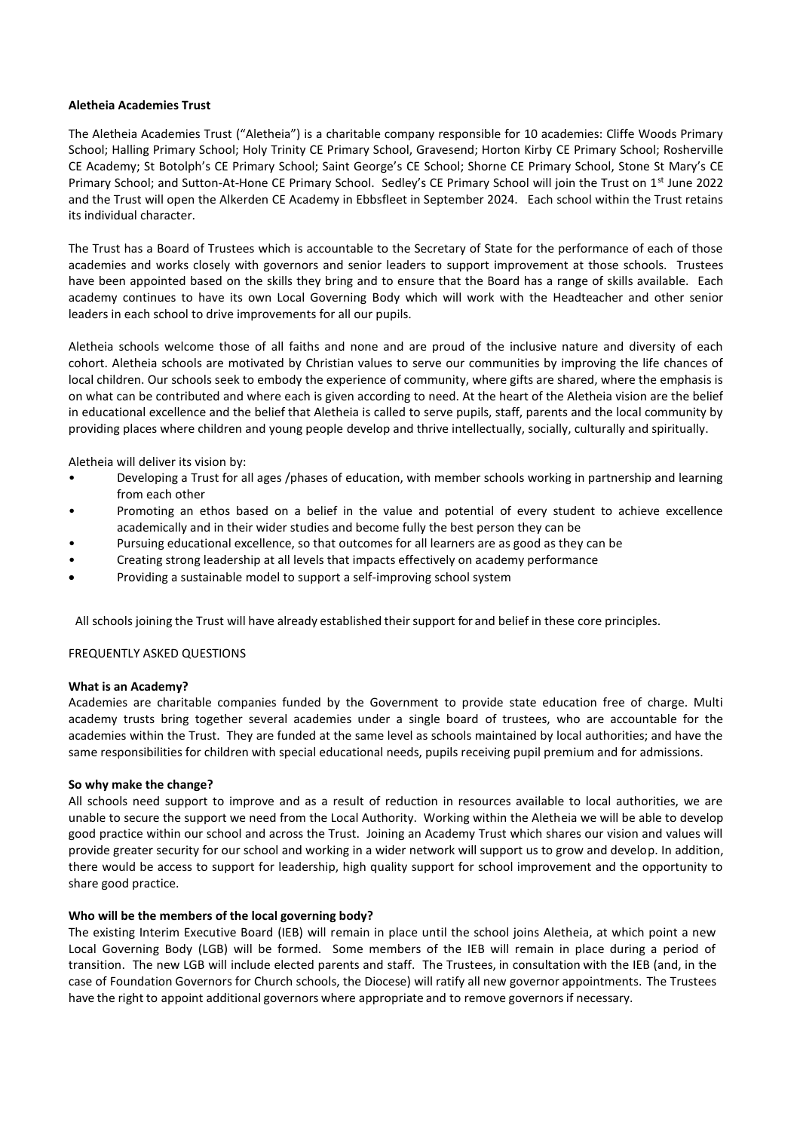## **Aletheia Academies Trust**

The Aletheia Academies Trust ("Aletheia") is a charitable company responsible for 10 academies: Cliffe Woods Primary School; Halling Primary School; Holy Trinity CE Primary School, Gravesend; Horton Kirby CE Primary School; Rosherville CE Academy; St Botolph's CE Primary School; Saint George's CE School; Shorne CE Primary School, Stone St Mary's CE Primary School; and Sutton-At-Hone CE Primary School. Sedley's CE Primary School will join the Trust on 1<sup>st</sup> June 2022 and the Trust will open the Alkerden CE Academy in Ebbsfleet in September 2024. Each school within the Trust retains its individual character.

The Trust has a Board of Trustees which is accountable to the Secretary of State for the performance of each of those academies and works closely with governors and senior leaders to support improvement at those schools. Trustees have been appointed based on the skills they bring and to ensure that the Board has a range of skills available. Each academy continues to have its own Local Governing Body which will work with the Headteacher and other senior leaders in each school to drive improvements for all our pupils.

Aletheia schools welcome those of all faiths and none and are proud of the inclusive nature and diversity of each cohort. Aletheia schools are motivated by Christian values to serve our communities by improving the life chances of local children. Our schools seek to embody the experience of community, where gifts are shared, where the emphasis is on what can be contributed and where each is given according to need. At the heart of the Aletheia vision are the belief in educational excellence and the belief that Aletheia is called to serve pupils, staff, parents and the local community by providing places where children and young people develop and thrive intellectually, socially, culturally and spiritually.

Aletheia will deliver its vision by:

- Developing a Trust for all ages /phases of education, with member schools working in partnership and learning from each other
- Promoting an ethos based on a belief in the value and potential of every student to achieve excellence academically and in their wider studies and become fully the best person they can be
- Pursuing educational excellence, so that outcomes for all learners are as good as they can be
- Creating strong leadership at all levels that impacts effectively on academy performance
- Providing a sustainable model to support a self-improving school system

All schools joining the Trust will have already established their support for and belief in these core principles.

### FREQUENTLY ASKED QUESTIONS

### **What is an Academy?**

Academies are charitable companies funded by the Government to provide state education free of charge. Multi academy trusts bring together several academies under a single board of trustees, who are accountable for the academies within the Trust. They are funded at the same level as schools maintained by local authorities; and have the same responsibilities for children with special educational needs, pupils receiving pupil premium and for admissions.

### **So why make the change?**

All schools need support to improve and as a result of reduction in resources available to local authorities, we are unable to secure the support we need from the Local Authority. Working within the Aletheia we will be able to develop good practice within our school and across the Trust. Joining an Academy Trust which shares our vision and values will provide greater security for our school and working in a wider network will support us to grow and develop. In addition, there would be access to support for leadership, high quality support for school improvement and the opportunity to share good practice.

### **Who will be the members of the local governing body?**

The existing Interim Executive Board (IEB) will remain in place until the school joins Aletheia, at which point a new Local Governing Body (LGB) will be formed. Some members of the IEB will remain in place during a period of transition. The new LGB will include elected parents and staff. The Trustees, in consultation with the IEB (and, in the case of Foundation Governors for Church schools, the Diocese) will ratify all new governor appointments. The Trustees have the right to appoint additional governors where appropriate and to remove governorsif necessary.